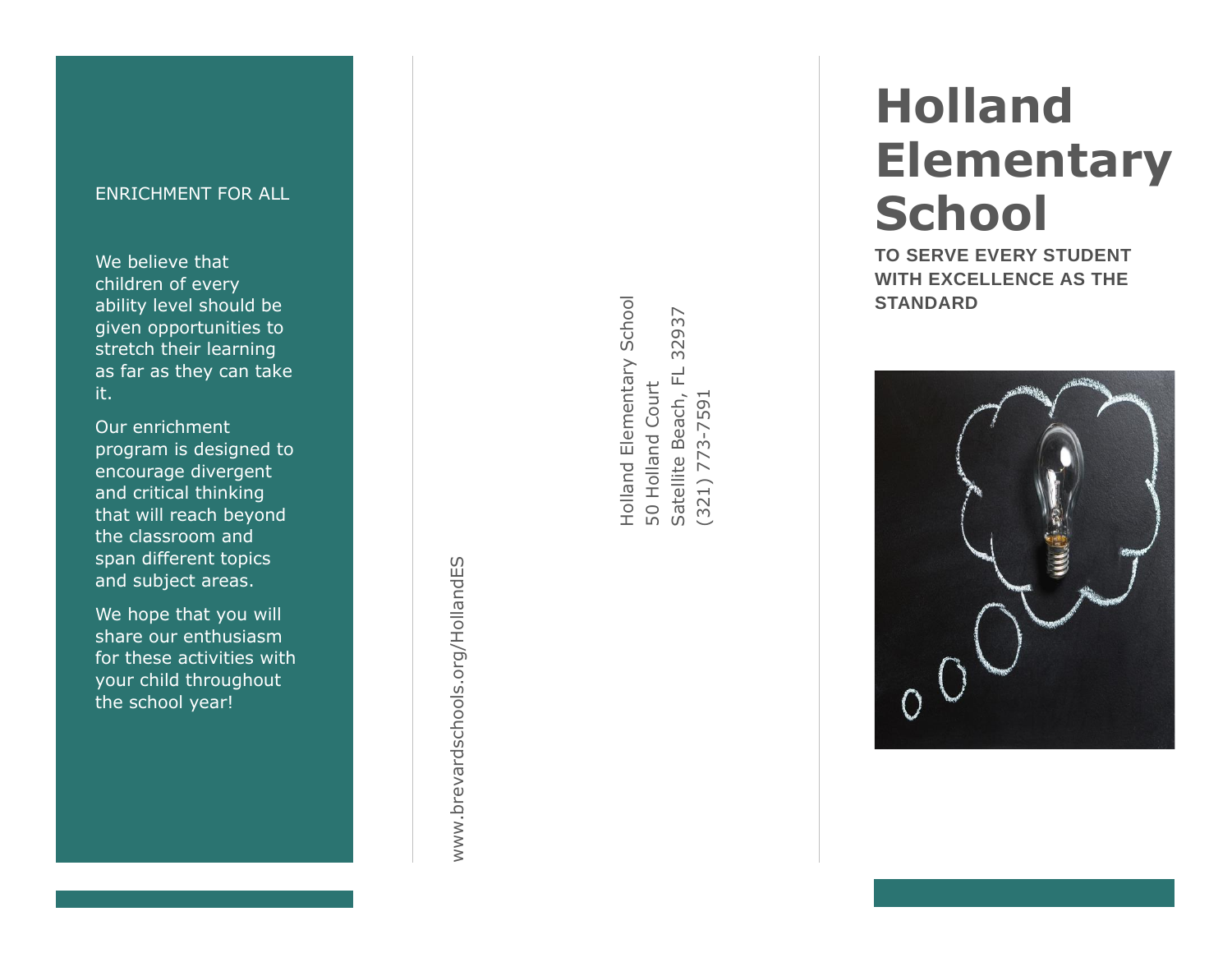# ENRICHMENT FOR ALL

We believe that children of every ability level should be given opportunities to stretch their learning as far as they can take it.

Our enrichment program is designed to encourage divergent and critical thinking that will reach beyond the classroom and<br>span different topics and subject areas.

We hope that you will share our enthusiasm for these activities with your child throughout the school year!

www.brevardschools.org/HollandES www.brevardschools.org/HollandES Holland Elementary School Holland Elementary School 32937 Satellite Beach, FL 32937  $\overline{\mathbf{u}}$ 50 Holland Court 50 Holland Court Satellite Beach,  $(321)$  773-7591 (321) 773-7591

# **Holland Elementary School**

**TO SERVE EVERY STUDENT WITH EXCELLENCE AS THE STANDARD**